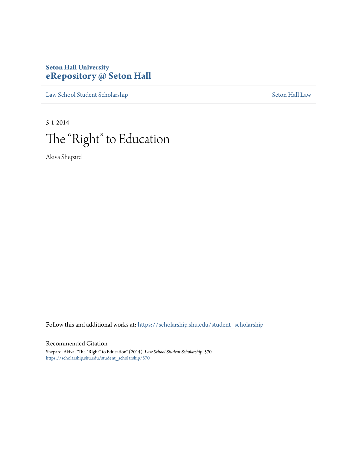### **Seton Hall University [eRepository @ Seton Hall](https://scholarship.shu.edu?utm_source=scholarship.shu.edu%2Fstudent_scholarship%2F570&utm_medium=PDF&utm_campaign=PDFCoverPages)**

[Law School Student Scholarship](https://scholarship.shu.edu/student_scholarship?utm_source=scholarship.shu.edu%2Fstudent_scholarship%2F570&utm_medium=PDF&utm_campaign=PDFCoverPages) [Seton Hall Law](https://scholarship.shu.edu/law?utm_source=scholarship.shu.edu%2Fstudent_scholarship%2F570&utm_medium=PDF&utm_campaign=PDFCoverPages)

5-1-2014

# The "Right" to Education

Akiva Shepard

Follow this and additional works at: [https://scholarship.shu.edu/student\\_scholarship](https://scholarship.shu.edu/student_scholarship?utm_source=scholarship.shu.edu%2Fstudent_scholarship%2F570&utm_medium=PDF&utm_campaign=PDFCoverPages)

#### Recommended Citation

Shepard, Akiva, "The "Right" to Education" (2014). *Law School Student Scholarship*. 570. [https://scholarship.shu.edu/student\\_scholarship/570](https://scholarship.shu.edu/student_scholarship/570?utm_source=scholarship.shu.edu%2Fstudent_scholarship%2F570&utm_medium=PDF&utm_campaign=PDFCoverPages)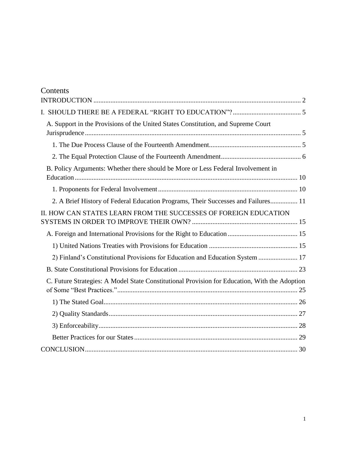| Contents                                                                                      |  |
|-----------------------------------------------------------------------------------------------|--|
|                                                                                               |  |
|                                                                                               |  |
| A. Support in the Provisions of the United States Constitution, and Supreme Court             |  |
|                                                                                               |  |
|                                                                                               |  |
|                                                                                               |  |
| B. Policy Arguments: Whether there should be More or Less Federal Involvement in              |  |
|                                                                                               |  |
|                                                                                               |  |
| 2. A Brief History of Federal Education Programs, Their Successes and Failures 11             |  |
| II. HOW CAN STATES LEARN FROM THE SUCCESSES OF FOREIGN EDUCATION                              |  |
|                                                                                               |  |
|                                                                                               |  |
|                                                                                               |  |
| 2) Finland's Constitutional Provisions for Education and Education System  17                 |  |
|                                                                                               |  |
| C. Future Strategies: A Model State Constitutional Provision for Education, With the Adoption |  |
|                                                                                               |  |
|                                                                                               |  |
|                                                                                               |  |
|                                                                                               |  |
|                                                                                               |  |
|                                                                                               |  |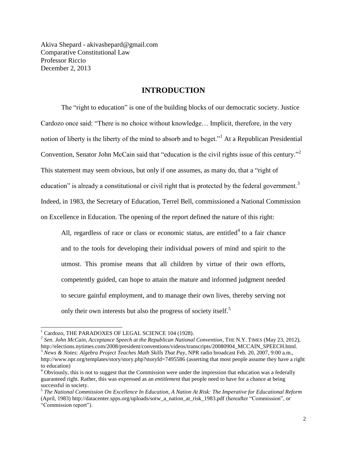<span id="page-2-0"></span>Akiva Shepard - akivashepard@gmail.com Comparative Constitutional Law Professor Riccio December 2, 2013

#### **INTRODUCTION**

The "right to education" is one of the building blocks of our democratic society. Justice Cardozo once said: "There is no choice without knowledge… Implicit, therefore, in the very notion of liberty is the liberty of the mind to absorb and to beget."<sup>1</sup> At a Republican Presidential Convention, Senator John McCain said that "education is the civil rights issue of this century."<sup>2</sup> This statement may seem obvious, but only if one assumes, as many do, that a "right of education" is already a constitutional or civil right that is protected by the federal government.<sup>3</sup> Indeed, in 1983, the Secretary of Education, Terrel Bell, commissioned a National Commission on Excellence in Education. The opening of the report defined the nature of this right:

All, regardless of race or class or economic status, are entitled<sup>4</sup> to a fair chance and to the tools for developing their individual powers of mind and spirit to the utmost. This promise means that all children by virtue of their own efforts, competently guided, can hope to attain the mature and informed judgment needed to secure gainful employment, and to manage their own lives, thereby serving not only their own interests but also the progress of society itself.<sup>5</sup>

 $\overline{a}$ 

2 *Sen. John McCain, Acceptance Speech at the Republican National Convention*, THE N.Y. TIMES (May 23, 2012), http://elections.nytimes.com/2008/president/conventions/videos/transcripts/20080904\_MCCAIN\_SPEECH.html. <sup>3</sup> *News & Notes: Algebra Project Teaches Math Skills That Pay*, NPR radio broadcast Feb. 20, 2007, 9:00 a.m., http://www.npr.org/templates/story/story.php?storyId=7495586 (asserting that most people assume they have a right to education)

<sup>&</sup>lt;sup>1</sup> Cardozo, THE PARADOXES OF LEGAL SCIENCE 104 (1928).

 $4$  Obviously, this is not to suggest that the Commission were under the impression that education was a federally guaranteed right. Rather, this was expressed as an *entitlement* that people need to have for a chance at being successful in society.

<sup>5</sup> *The National Commission On Excellence In Education, A Nation At Risk: The Imperative for Educational Reform* (April, 1983) http://datacenter.spps.org/uploads/sotw\_a\_nation\_at\_risk\_1983.pdf (hereafter "Commission", or "Commission report").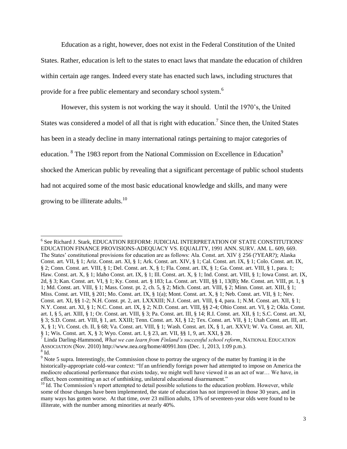Education as a right, however, does not exist in the Federal Constitution of the United States. Rather, education is left to the states to enact laws that mandate the education of children within certain age ranges. Indeed every state has enacted such laws, including structures that provide for a free public elementary and secondary school system.<sup>6</sup>

However, this system is not working the way it should. Until the 1970's, the United States was considered a model of all that is right with education.<sup>7</sup> Since then, the United States has been in a steady decline in many international ratings pertaining to major categories of education. <sup>8</sup> The 1983 report from the National Commission on Excellence in Education<sup>9</sup> shocked the American public by revealing that a significant percentage of public school students had not acquired some of the most basic educational knowledge and skills, and many were growing to be illiterate adults.<sup>10</sup>

<sup>6</sup> See Richard J. Stark, EDUCATION REFORM: JUDICIAL INTERPRETATION OF STATE CONSTITUTIONS' EDUCATION FINANCE PROVISIONS-ADEQUACY VS. EQUALITY, 1991 ANN. SURV. AM. L. 609, 669. The States' constitutional provisions for education are as follows: Ala. Const. art. XIV § 256 (?YEAR?); Alaska Const. art. VII, § 1; Ariz. Const. art. XI, § 1; Ark. Const. art. XIV, § 1; Cal. Const. art. IX, § 1; Colo. Const. art. IX, § 2; Conn. Const. art. VIII, § 1; Del. Const. art. X, § 1; Fla. Const. art. IX, § 1; Ga. Const. art. VIII, § 1, para. 1; Haw. Const. art. X, § 1; Idaho Const. art. IX, § 1; Ill. Const. art. X, § 1; Ind. Const. art. VIII, § 1; Iowa Const. art. IX, 2d, § 3; Kan. Const. art. VI, § 1; Ky. Const. art. § 183; La. Const. art. VIII, §§ 1, 13(B); Me. Const. art. VIII, pt. 1, § 1; Md. Const. art. VIII, § 1; Mass. Const. pt. 2, ch. 5, § 2; Mich. Const. art. VIII, § 2; Minn. Const. art. XIII, § 1; Miss. Const. art. VIII, § 201; Mo. Const. art. IX, § 1(a); Mont. Const. art. X, § 1; Neb. Const. art. VII, § 1; Nev. Const. art. XI, §§ 1-2; N.H. Const. pt. 2, art. LXXXIII; N.J. Const. art. VIII, § 4, para. 1; N.M. Const. art. XII, § 1; N.Y. Const. art. XI, § 1; N.C. Const. art. IX, § 2; N.D. Const. art. VIII, §§ 2-4; Ohio Const. art. VI, § 2; Okla. Const. art. I, § 5, art. XIII, § 1; Or. Const. art. VIII, § 3; Pa. Const. art. III, § 14; R.I. Const. art. XII, § 1; S.C. Const. art. XI, § 3; S.D. Const. art. VIII, § 1, art. XXIII; Tenn. Const. art. XI, § 12; Tex. Const. art. VII, § 1; Utah Const. art. III, art. X, § 1; Vt. Const. ch. II, § 68; Va. Const. art. VIII, § 1; Wash. Const. art. IX, § 1, art. XXVI; W. Va. Const. art. XII, § 1; Wis. Const. art. X, § 3; Wyo. Const. art. I, § 23, art. VII, §§ 1, 9, art. XXI, § 28.

<sup>7</sup> Linda Darling-Hammond, *What we can learn from Finland's successful school reform*, NATIONAL EDUCATION ASSOCIATION (Nov. 2010) http://www.nea.org/home/40991.htm (Dec. 1, 2013, 1:09 p.m.).  $^8$  Id.

<sup>&</sup>lt;sup>9</sup> Note 5 supra. Interestingly, the Commission chose to portray the urgency of the matter by framing it in the historically-appropriate cold-war context: "If an unfriendly foreign power had attempted to impose on America the mediocre educational performance that exists today, we might well have viewed it as an act of war… We have, in effect, been committing an act of unthinking, unilateral educational disarmament."

<sup>&</sup>lt;sup>10</sup> Id. The Commission's report attempted to detail possible solutions to the education problem. However, while some of those changes have been implemented, the state of education has not improved in those 30 years, and in many ways has gotten worse. At that time, over 23 million adults, 13% of seventeen-year olds were found to be illiterate, with the number among minorities at nearly 40%.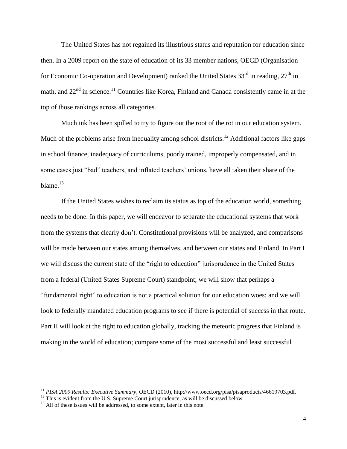The United States has not regained its illustrious status and reputation for education since then. In a 2009 report on the state of education of its 33 member nations, OECD (Organisation for Economic Co-operation and Development) ranked the United States  $33<sup>rd</sup>$  in reading,  $27<sup>th</sup>$  in math, and  $22<sup>nd</sup>$  in science.<sup>11</sup> Countries like Korea, Finland and Canada consistently came in at the top of those rankings across all categories.

Much ink has been spilled to try to figure out the root of the rot in our education system. Much of the problems arise from inequality among school districts.<sup>12</sup> Additional factors like gaps in school finance, inadequacy of curriculums, poorly trained, improperly compensated, and in some cases just "bad" teachers, and inflated teachers' unions, have all taken their share of the blame. $13$ 

If the United States wishes to reclaim its status as top of the education world, something needs to be done. In this paper, we will endeavor to separate the educational systems that work from the systems that clearly don't. Constitutional provisions will be analyzed, and comparisons will be made between our states among themselves, and between our states and Finland. In Part I we will discuss the current state of the "right to education" jurisprudence in the United States from a federal (United States Supreme Court) standpoint; we will show that perhaps a "fundamental right" to education is not a practical solution for our education woes; and we will look to federally mandated education programs to see if there is potential of success in that route. Part II will look at the right to education globally, tracking the meteoric progress that Finland is making in the world of education; compare some of the most successful and least successful

l

<sup>11</sup> *PISA 2009 Results: Executive Summary*, OECD (2010), http://www.oecd.org/pisa/pisaproducts/46619703.pdf.

 $12$  This is evident from the U.S. Supreme Court jurisprudence, as will be discussed below.

 $13$  All of these issues will be addressed, to some extent, later in this note.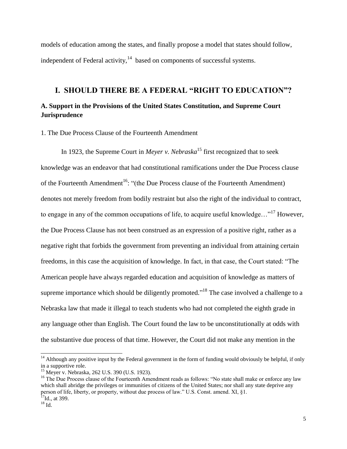models of education among the states, and finally propose a model that states should follow, independent of Federal activity, $14$  based on components of successful systems.

### <span id="page-5-1"></span><span id="page-5-0"></span>**I. SHOULD THERE BE A FEDERAL "RIGHT TO EDUCATION"? A. Support in the Provisions of the United States Constitution, and Supreme Court Jurisprudence**

<span id="page-5-2"></span>1. The Due Process Clause of the Fourteenth Amendment

In 1923, the Supreme Court in *Meyer v. Nebraska*<sup>15</sup> first recognized that to seek knowledge was an endeavor that had constitutional ramifications under the Due Process clause of the Fourteenth Amendment<sup>16</sup>: "(the Due Process clause of the Fourteenth Amendment) denotes not merely freedom from bodily restraint but also the right of the individual to contract, to engage in any of the common occupations of life, to acquire useful knowledge..."<sup>17</sup> However, the Due Process Clause has not been construed as an expression of a positive right, rather as a negative right that forbids the government from preventing an individual from attaining certain freedoms, in this case the acquisition of knowledge. In fact, in that case, the Court stated: "The American people have always regarded education and acquisition of knowledge as matters of supreme importance which should be diligently promoted."<sup>18</sup> The case involved a challenge to a Nebraska law that made it illegal to teach students who had not completed the eighth grade in any language other than English. The Court found the law to be unconstitutionally at odds with the substantive due process of that time. However, the Court did not make any mention in the

 $14$  Although any positive input by the Federal government in the form of funding would obviously be helpful, if only in a supportive role.

<sup>15</sup> Meyer v. Nebraska, 262 U.S. 390 (U.S. 1923).

<sup>&</sup>lt;sup>16</sup> The Due Process clause of the Fourteenth Amendment reads as follows: "No state shall make or enforce any law which shall abridge the privileges or immunities of citizens of the United States; nor shall any state deprive any person of life, liberty, or property, without due process of law." U.S. Const. amend. XI, §1.  $^{17}$ Id., at 399.

 $^{18}$  Id.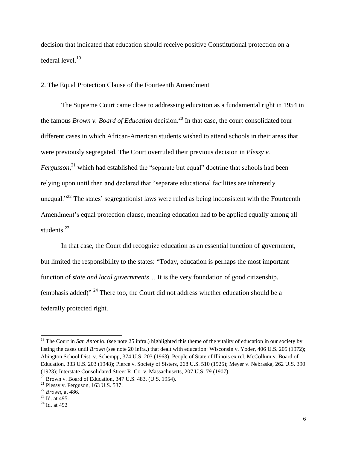decision that indicated that education should receive positive Constitutional protection on a federal level.<sup>19</sup>

<span id="page-6-0"></span>2. The Equal Protection Clause of the Fourteenth Amendment

The Supreme Court came close to addressing education as a fundamental right in 1954 in the famous *Brown v. Board of Education* decision.<sup>20</sup> In that case, the court consolidated four different cases in which African-American students wished to attend schools in their areas that were previously segregated. The Court overruled their previous decision in *Plessy v.*  Fergusson,<sup>21</sup> which had established the "separate but equal" doctrine that schools had been relying upon until then and declared that "separate educational facilities are inherently unequal."<sup>22</sup> The states' segregationist laws were ruled as being inconsistent with the Fourteenth Amendment's equal protection clause, meaning education had to be applied equally among all students.<sup>23</sup>

In that case, the Court did recognize education as an essential function of government, but limited the responsibility to the states: "Today, education is perhaps the most important function of *state and local governments*… It is the very foundation of good citizenship. (emphasis added)"  $^{24}$  There too, the Court did not address whether education should be a federally protected right.

<sup>&</sup>lt;sup>19</sup> The Court in *San Antonio*. (see note 25 infra.) highlighted this theme of the vitality of education in our society by listing the cases until *Brown* (see note 20 infra.) that dealt with education: Wisconsin v. Yoder, 406 U.S. 205 (1972); Abington School Dist. v. Schempp, 374 U.S. 203 (1963); People of State of Illinois ex rel. McCollum v. Board of Education, 333 U.S. 203 (1948); Pierce v. Society of Sisters, 268 U.S. 510 (1925); Meyer v. Nebraska, 262 U.S. 390 (1923); Interstate Consolidated Street R. Co. v. Massachusetts, 207 U.S. 79 (1907).  $20$  Brown v. Board of Education, 347 U.S. 483, (U.S. 1954).

 $21$  Plessy v. Ferguson, 163 U.S. 537.

<sup>22</sup> *Brown*, at 486.

 $23$  Id. at 495.

<sup>24</sup> Id. at 492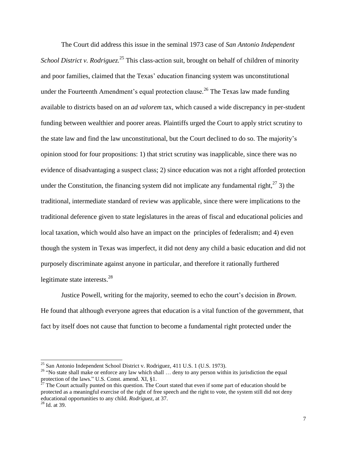The Court did address this issue in the seminal 1973 case of *San Antonio Independent*  School District v. Rodriguez.<sup>25</sup> This class-action suit, brought on behalf of children of minority and poor families, claimed that the Texas' education financing system was unconstitutional under the Fourteenth Amendment's equal protection clause.<sup>26</sup> The Texas law made funding available to districts based on an *ad valorem* tax, which caused a wide discrepancy in per-student funding between wealthier and poorer areas. Plaintiffs urged the Court to apply strict scrutiny to the state law and find the law unconstitutional, but the Court declined to do so. The majority's opinion stood for four propositions: 1) that strict scrutiny was inapplicable, since there was no evidence of disadvantaging a suspect class; 2) since education was not a right afforded protection under the Constitution, the financing system did not implicate any fundamental right,  $27$  3) the traditional, intermediate standard of review was applicable, since there were implications to the traditional deference given to state legislatures in the areas of fiscal and educational policies and local taxation, which would also have an impact on the principles of federalism; and 4) even though the system in Texas was imperfect, it did not deny any child a basic education and did not purposely discriminate against anyone in particular, and therefore it rationally furthered legitimate state interests.<sup>28</sup>

Justice Powell, writing for the majority, seemed to echo the court's decision in *Brown*. He found that although everyone agrees that education is a vital function of the government, that fact by itself does not cause that function to become a fundamental right protected under the

<sup>&</sup>lt;sup>25</sup> San Antonio Independent School District v. Rodriguez, 411 U.S. 1 (U.S. 1973).

<sup>&</sup>lt;sup>26</sup> "No state shall make or enforce any law which shall ... deny to any person within its jurisdiction the equal protection of the laws." U.S. Const. amend. XI, §1.

 $2^{27}$  The Court actually punted on this question. The Court stated that even if some part of education should be protected as a meaningful exercise of the right of free speech and the right to vote, the system still did not deny educational opportunities to any child. *Rodriguez*, at 37.

<sup>28</sup> Id. at 39.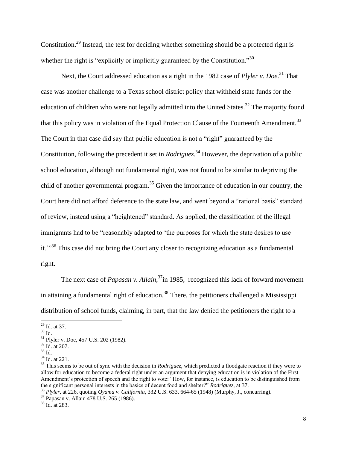Constitution.<sup>29</sup> Instead, the test for deciding whether something should be a protected right is whether the right is "explicitly or implicitly guaranteed by the Constitution."<sup>30</sup>

Next, the Court addressed education as a right in the 1982 case of *Plyler v. Doe*.<sup>31</sup> That case was another challenge to a Texas school district policy that withheld state funds for the education of children who were not legally admitted into the United States.<sup>32</sup> The majority found that this policy was in violation of the Equal Protection Clause of the Fourteenth Amendment.<sup>33</sup> The Court in that case did say that public education is not a "right" guaranteed by the Constitution, following the precedent it set in *Rodriguez*. <sup>34</sup> However, the deprivation of a public school education, although not fundamental right, was not found to be similar to depriving the child of another governmental program.<sup>35</sup> Given the importance of education in our country, the Court here did not afford deference to the state law, and went beyond a "rational basis" standard of review, instead using a "heightened" standard. As applied, the classification of the illegal immigrants had to be "reasonably adapted to 'the purposes for which the state desires to use it.'"<sup>36</sup> This case did not bring the Court any closer to recognizing education as a fundamental right.

The next case of *Papasan v. Allain*,<sup>37</sup>in 1985, recognized this lack of forward movement in attaining a fundamental right of education.<sup>38</sup> There, the petitioners challenged a Mississippi distribution of school funds, claiming, in part, that the law denied the petitioners the right to a

l

 $^{29}$  Id. at 37.

 $30$  Id.

<sup>31</sup> Plyler v. Doe, 457 U.S. 202 (1982).

<sup>32</sup> Id. at 207.

<sup>33</sup> Id.

<sup>34</sup> Id. at 221.

<sup>&</sup>lt;sup>35</sup> This seems to be out of sync with the decision in *Rodriguez*, which predicted a floodgate reaction if they were to allow for education to become a federal right under an argument that denying education is in violation of the First Amendment's protection of speech and the right to vote: "How, for instance, is education to be distinguished from the significant personal interests in the basics of decent food and shelter?" *Rodriguez*, at 37.

<sup>36</sup> *Plyler*, at 226, quoting *Oyama v. California*, 332 U.S. 633, 664-65 (1948) (Murphy, J., concurring).

<sup>37</sup> Papasan v. Allain 478 U.S. 265 (1986).

<sup>38</sup> Id. at 283.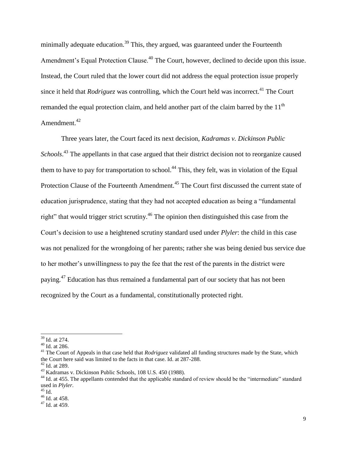minimally adequate education.<sup>39</sup> This, they argued, was guaranteed under the Fourteenth Amendment's Equal Protection Clause.<sup>40</sup> The Court, however, declined to decide upon this issue. Instead, the Court ruled that the lower court did not address the equal protection issue properly since it held that *Rodriguez* was controlling, which the Court held was incorrect.<sup>41</sup> The Court remanded the equal protection claim, and held another part of the claim barred by the 11<sup>th</sup> Amendment.<sup>42</sup>

Three years later, the Court faced its next decision, *Kadramas v. Dickinson Public*  Schools.<sup>43</sup> The appellants in that case argued that their district decision not to reorganize caused them to have to pay for transportation to school.<sup>44</sup> This, they felt, was in violation of the Equal Protection Clause of the Fourteenth Amendment.<sup>45</sup> The Court first discussed the current state of education jurisprudence, stating that they had not accepted education as being a "fundamental right" that would trigger strict scrutiny.<sup>46</sup> The opinion then distinguished this case from the Court's decision to use a heightened scrutiny standard used under *Plyler*: the child in this case was not penalized for the wrongdoing of her parents; rather she was being denied bus service due to her mother's unwillingness to pay the fee that the rest of the parents in the district were paying.<sup>47</sup> Education has thus remained a fundamental part of our society that has not been recognized by the Court as a fundamental, constitutionally protected right.

<sup>&</sup>lt;sup>39</sup> Id. at 274.

<sup>40</sup> Id. at 286.

<sup>&</sup>lt;sup>41</sup> The Court of Appeals in that case held that *Rodriguez* validated all funding structures made by the State, which the Court here said was limited to the facts in that case. Id. at 287-288.  $42$  Id. at 289.

*<sup>43</sup>* Kadramas v. Dickinson Public Schools, 108 U.S. 450 (1988).

<sup>&</sup>lt;sup>44</sup> Id. at 455. The appellants contended that the applicable standard of review should be the "intermediate" standard used in *Plyler*.

 $^{45}$  Id.

 $46$  Id. at 458.

<sup>47</sup> Id. at 459.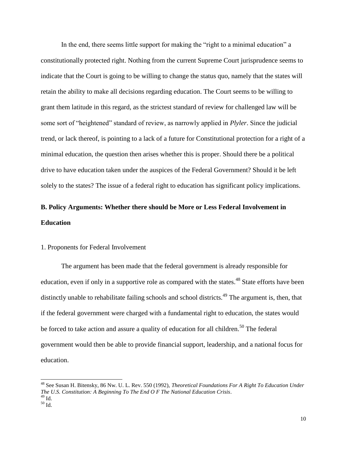In the end, there seems little support for making the "right to a minimal education" a constitutionally protected right. Nothing from the current Supreme Court jurisprudence seems to indicate that the Court is going to be willing to change the status quo, namely that the states will retain the ability to make all decisions regarding education. The Court seems to be willing to grant them latitude in this regard, as the strictest standard of review for challenged law will be some sort of "heightened" standard of review, as narrowly applied in *Plyler*. Since the judicial trend, or lack thereof, is pointing to a lack of a future for Constitutional protection for a right of a minimal education, the question then arises whether this is proper. Should there be a political drive to have education taken under the auspices of the Federal Government? Should it be left solely to the states? The issue of a federal right to education has significant policy implications.

# <span id="page-10-0"></span>**B. Policy Arguments: Whether there should be More or Less Federal Involvement in Education**

#### <span id="page-10-1"></span>1. Proponents for Federal Involvement

The argument has been made that the federal government is already responsible for education, even if only in a supportive role as compared with the states.<sup>48</sup> State efforts have been distinctly unable to rehabilitate failing schools and school districts.<sup>49</sup> The argument is, then, that if the federal government were charged with a fundamental right to education, the states would be forced to take action and assure a quality of education for all children.<sup>50</sup> The federal government would then be able to provide financial support, leadership, and a national focus for education.

<sup>48</sup> See Susan H. Bitensky, 86 Nw. U. L. Rev. 550 (1992), *Theoretical Foundations For A Right To Education Under The U.S. Constitution: A Beginning To The End O F The National Education Crisis*.  $49$  Id.

 $50$  Id.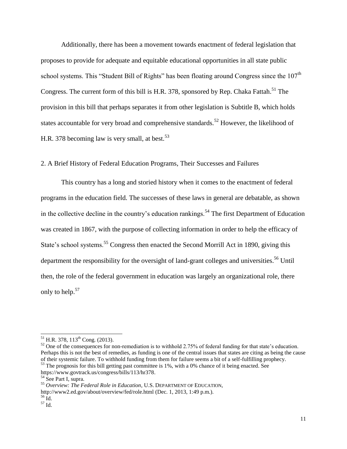Additionally, there has been a movement towards enactment of federal legislation that proposes to provide for adequate and equitable educational opportunities in all state public school systems. This "Student Bill of Rights" has been floating around Congress since the  $107<sup>th</sup>$ Congress. The current form of this bill is H.R. 378, sponsored by Rep. Chaka Fattah.<sup>51</sup> The provision in this bill that perhaps separates it from other legislation is Subtitle B, which holds states accountable for very broad and comprehensive standards.<sup>52</sup> However, the likelihood of H.R. 378 becoming law is very small, at best.<sup>53</sup>

#### <span id="page-11-0"></span>2. A Brief History of Federal Education Programs, Their Successes and Failures

This country has a long and storied history when it comes to the enactment of federal programs in the education field. The successes of these laws in general are debatable, as shown in the collective decline in the country's education rankings.<sup>54</sup> The first Department of Education was created in 1867, with the purpose of collecting information in order to help the efficacy of State's school systems.<sup>55</sup> Congress then enacted the Second Morrill Act in 1890, giving this department the responsibility for the oversight of land-grant colleges and universities.<sup>56</sup> Until then, the role of the federal government in education was largely an organizational role, there only to help.<sup>57</sup>

 $^{51}$  H.R. 378, 113<sup>th</sup> Cong. (2013).

<sup>&</sup>lt;sup>52</sup> One of the consequences for non-remediation is to withhold 2.75% of federal funding for that state's education. Perhaps this is not the best of remedies, as funding is one of the central issues that states are citing as being the cause of their systemic failure. To withhold funding from them for failure seems a bit of a self-fulfilling prophecy.

 $53$  The prognosis for this bill getting past committee is 1%, with a 0% chance of it being enacted. See https://www.govtrack.us/congress/bills/113/hr378.

<sup>54</sup> See Part I, supra.

<sup>55</sup> *Overview: The Federal Role in Education*, U.S. DEPARTMENT OF EDUCATION,

http://www2.ed.gov/about/overview/fed/role.html (Dec. 1, 2013, 1:49 p.m.).

<sup>56</sup> Id.

 $57 \overline{1d}$ .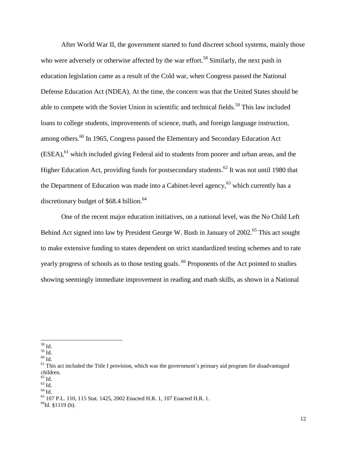After World War II, the government started to fund discreet school systems, mainly those who were adversely or otherwise affected by the war effort.<sup>58</sup> Similarly, the next push in education legislation came as a result of the Cold war, when Congress passed the National Defense Education Act (NDEA). At the time, the concern was that the United States should be able to compete with the Soviet Union in scientific and technical fields.<sup>59</sup> This law included loans to college students, improvements of science, math, and foreign language instruction, among others.<sup>60</sup> In 1965, Congress passed the Elementary and Secondary Education Act (ESEA),<sup>61</sup> which included giving Federal aid to students from poorer and urban areas, and the Higher Education Act, providing funds for postsecondary students.<sup>62</sup> It was not until 1980 that the Department of Education was made into a Cabinet-level agency,  $63$  which currently has a discretionary budget of  $$68.4$  billion.<sup>64</sup>

One of the recent major education initiatives, on a national level, was the No Child Left Behind Act signed into law by President George W. Bush in January of 2002.<sup>65</sup> This act sought to make extensive funding to states dependent on strict standardized testing schemes and to rate yearly progress of schools as to those testing goals. <sup>66</sup> Proponents of the Act pointed to studies showing seemingly immediate improvement in reading and math skills, as shown in a National

 $\overline{a}$ <sup>58</sup> Id.

 $^{59}$  Id.

 $^{60}$  Id.

<sup>&</sup>lt;sup>61</sup> This act included the Title I provision, which was the government's primary aid program for disadvantaged children.

 $62$  Id.

 $63$  Id.

 $64$  Id.

 $^{65}$  107 P.L. 110, 115 Stat. 1425, 2002 Enacted H.R. 1, 107 Enacted H.R. 1.

 $66$ Id. §1119 (b).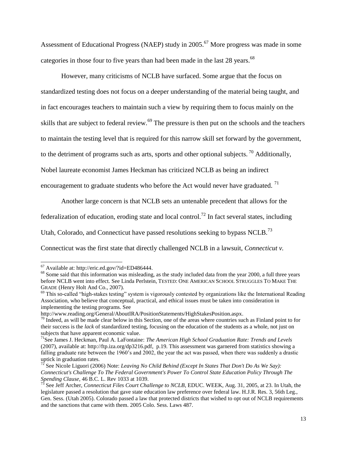Assessment of Educational Progress (NAEP) study in 2005.<sup>67</sup> More progress was made in some categories in those four to five years than had been made in the last 28 years.<sup>68</sup>

However, many criticisms of NCLB have surfaced. Some argue that the focus on standardized testing does not focus on a deeper understanding of the material being taught, and in fact encourages teachers to maintain such a view by requiring them to focus mainly on the skills that are subject to federal review.<sup>69</sup> The pressure is then put on the schools and the teachers to maintain the testing level that is required for this narrow skill set forward by the government, to the detriment of programs such as arts, sports and other optional subjects.<sup>70</sup> Additionally, Nobel laureate economist James Heckman has criticized NCLB as being an indirect

encouragement to graduate students who before the Act would never have graduated.<sup>71</sup>

Another large concern is that NCLB sets an untenable precedent that allows for the

federalization of education, eroding state and local control.<sup>72</sup> In fact several states, including

Utah, Colorado, and Connecticut have passed resolutions seeking to bypass NCLB.<sup>73</sup>

Connecticut was the first state that directly challenged NCLB in a lawsuit, *Connecticut v.* 

 $67$  Available at: http://eric.ed.gov/?id=ED486444.

<sup>&</sup>lt;sup>68</sup> Some said that this information was misleading, as the study included data from the year 2000, a full three years before NCLB went into effect. See Linda Perlstein*,* TESTED: ONE AMERICAN SCHOOL STRUGGLES TO MAKE THE GRADE (Henry Holt And Co., 2007).

 $69$  This so-called "high-stakes testing" system is vigorously contested by organizations like the International Reading Association, who believe that conceptual, practical, and ethical issues must be taken into consideration in implementing the testing programs. See

http://www.reading.org/General/AboutIRA/PositionStatements/HighStakesPosition.aspx.

 $70$  Indeed, as will be made clear below in this Section, one of the areas where countries such as Finland point to for their success is the *lack* of standardized testing, focusing on the education of the students as a whole, not just on subjects that have apparent economic value.

<sup>71</sup>See James J. Heckman, Paul A. LaFontaine: *The American High School Graduation Rate: Trends and Levels* (2007), available at: http://ftp.iza.org/dp3216.pdf, p.19. This assessment was garnered from statistics showing a falling graduate rate between the 1960's and 2002, the year the act was passed, when there was suddenly a drastic uptick in graduation rates.

<sup>72</sup> See Nicole Liguori (2006) Note: *Leaving No Child Behind (Except In States That Don't Do As We Say): Connecticut's Challenge To The Federal Government's Power To Control State Education Policy Through The Spending Clause*, 46 B.C. L. Rev 1033 at 1039.

<sup>73</sup> See Jeff Archer, *Connecticut Files Court Challenge to NCLB*, EDUC. WEEK, Aug. 31, 2005, at 23. In Utah, the legislature passed a resolution that gave state education law preference over federal law. H.J.R. Res. 3, 56th Leg., Gen. Sess. (Utah 2005). Colorado passed a law that protected districts that wished to opt out of NCLB requirements and the sanctions that came with them. 2005 Colo. Sess. Laws 487.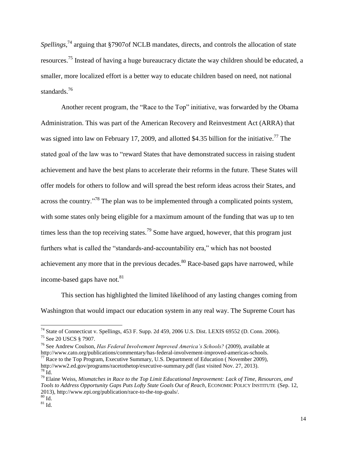Spellings,<sup>74</sup> arguing that §7907of NCLB mandates, directs, and controls the allocation of state resources.<sup>75</sup> Instead of having a huge bureaucracy dictate the way children should be educated, a smaller, more localized effort is a better way to educate children based on need, not national standards.<sup>76</sup>

Another recent program, the "Race to the Top" initiative, was forwarded by the Obama Administration. This was part of the American Recovery and Reinvestment Act (ARRA) that was signed into law on February 17, 2009, and allotted \$4.35 billion for the initiative.<sup>77</sup> The stated goal of the law was to "reward States that have demonstrated success in raising student achievement and have the best plans to accelerate their reforms in the future. These States will offer models for others to follow and will spread the best reform ideas across their States, and across the country."<sup>78</sup> The plan was to be implemented through a complicated points system, with some states only being eligible for a maximum amount of the funding that was up to ten times less than the top receiving states.<sup>79</sup> Some have argued, however, that this program just furthers what is called the "standards-and-accountability era," which has not boosted achievement any more that in the previous decades.<sup>80</sup> Race-based gaps have narrowed, while income-based gaps have not.<sup>81</sup>

This section has highlighted the limited likelihood of any lasting changes coming from Washington that would impact our education system in any real way. The Supreme Court has

 $^{74}$  State of Connecticut v. Spellings, 453 F. Supp. 2d 459, 2006 U.S. Dist. LEXIS 69552 (D. Conn. 2006). <sup>75</sup> See 20 USCS § 7907.

<sup>76</sup> See Andrew Coulson, *Has Federal Involvement Improved America's Schools?* (2009), available at http://www.cato.org/publications/commentary/has-federal-involvement-improved-americas-schools.  $^{77}$  Race to the Top Program, Executive Summary, U.S. Department of Education (November 2009),

http://www2.ed.gov/programs/racetothetop/executive-summary.pdf (last visited Nov. 27, 2013).  $78$  Id.

<sup>79</sup> Elaine Weiss, *Mismatches in Race to the Top Limit Educational Improvement: Lack of Time, Resources, and Tools to Address Opportunity Gaps Puts Lofty State Goals Out of Reach*, ECONOMIC POLICY INSTITUTE (Sep. 12, 2013), http://www.epi.org/publication/race-to-the-top-goals/.  $\overline{80}$  Id.

 $81$  Id.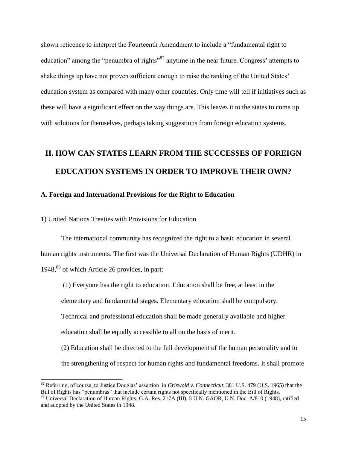shown reticence to interpret the Fourteenth Amendment to include a "fundamental right to education" among the "penumbra of rights<sup>"82</sup> anytime in the near future. Congress' attempts to shake things up have not proven sufficient enough to raise the ranking of the United States' education system as compared with many other countries. Only time will tell if initiatives such as these will have a significant effect on the way things are. This leaves it to the states to come up with solutions for themselves, perhaps taking suggestions from foreign education systems.

# <span id="page-15-0"></span>**II. HOW CAN STATES LEARN FROM THE SUCCESSES OF FOREIGN EDUCATION SYSTEMS IN ORDER TO IMPROVE THEIR OWN?**

#### <span id="page-15-1"></span>**A. Foreign and International Provisions for the Right to Education**

<span id="page-15-2"></span>1) United Nations Treaties with Provisions for Education

 $\overline{a}$ 

The international community has recognized the right to a basic education in several human rights instruments. The first was the Universal Declaration of Human Rights (UDHR) in 1948, <sup>83</sup> of which Article 26 provides, in part:

(1) Everyone has the right to education. Education shall be free, at least in the elementary and fundamental stages. Elementary education shall be compulsory. Technical and professional education shall be made generally available and higher education shall be equally accessible to all on the basis of merit. (2) Education shall be directed to the full development of the human personality and to the strengthening of respect for human rights and fundamental freedoms. It shall promote

<sup>82</sup> Referring, of course, to Justice Douglas' assertion in *Griswold v. Connecticut*, 381 U.S. 479 (U.S. 1965) that the Bill of Rights has "penumbras" that include certain rights not specifically mentioned in the Bill of Rights.

<sup>&</sup>lt;sup>83</sup> Universal Declaration of Human Rights, G.A. Res. 217A (III), 3 U.N. GAOR, U.N. Doc. A/810 (1948), ratified and adopted by the United States in 1948.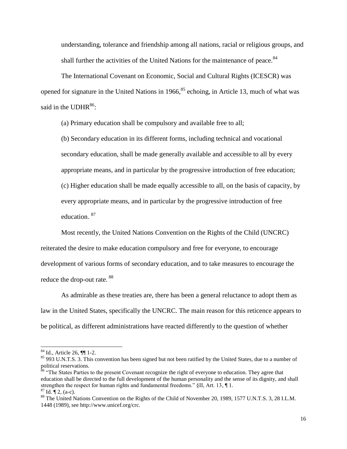understanding, tolerance and friendship among all nations, racial or religious groups, and shall further the activities of the United Nations for the maintenance of peace.<sup>84</sup>

The International Covenant on Economic, Social and Cultural Rights (ICESCR) was opened for signature in the United Nations in  $1966$ ,  $85$  echoing, in Article 13, much of what was said in the UDHR<sup>86</sup>:

(a) Primary education shall be compulsory and available free to all;

(b) Secondary education in its different forms, including technical and vocational secondary education, shall be made generally available and accessible to all by every appropriate means, and in particular by the progressive introduction of free education; (c) Higher education shall be made equally accessible to all, on the basis of capacity, by every appropriate means, and in particular by the progressive introduction of free education. <sup>87</sup>

Most recently, the United Nations Convention on the Rights of the Child (UNCRC) reiterated the desire to make education compulsory and free for everyone, to encourage development of various forms of secondary education, and to take measures to encourage the reduce the drop-out rate. <sup>88</sup>

As admirable as these treaties are, there has been a general reluctance to adopt them as law in the United States, specifically the UNCRC. The main reason for this reticence appears to be political, as different administrations have reacted differently to the question of whether

l

<sup>&</sup>lt;sup>84</sup> Id., Article 26, **[[**] 1-2.

<sup>&</sup>lt;sup>85</sup> 993 U.N.T.S. 3. This convention has been signed but not been ratified by the United States, due to a number of political reservations.

<sup>&</sup>lt;sup>86</sup> "The States Parties to the present Covenant recognize the right of everyone to education. They agree that education shall be directed to the full development of the human personality and the sense of its dignity, and shall strengthen the respect for human rights and fundamental freedoms." §II, Art. 13, ¶ 1.  $^{87}$  Id.  $\P$  2, (a-c).

<sup>&</sup>lt;sup>88</sup> The United Nations Convention on the Rights of the Child of November 20, 1989, 1577 U.N.T.S. 3, 28 I.L.M. 1448 (1989), see http://www.unicef.org/crc.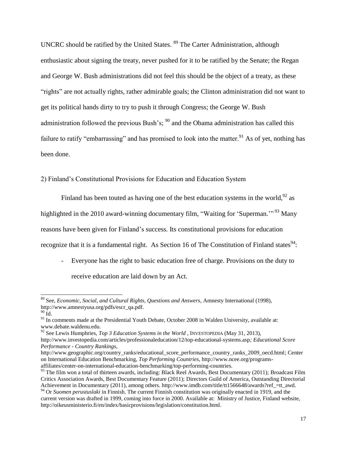UNCRC should be ratified by the United States. <sup>89</sup> The Carter Administration, although enthusiastic about signing the treaty, never pushed for it to be ratified by the Senate; the Regan and George W. Bush administrations did not feel this should be the object of a treaty, as these "rights" are not actually rights, rather admirable goals; the Clinton administration did not want to get its political hands dirty to try to push it through Congress; the George W. Bush administration followed the previous Bush's;  $90$  and the Obama administration has called this failure to ratify "embarrassing" and has promised to look into the matter.<sup>91</sup> As of yet, nothing has been done.

<span id="page-17-0"></span>2) Finland's Constitutional Provisions for Education and Education System

Finland has been touted as having one of the best education systems in the world,  $92$  as highlighted in the 2010 award-winning documentary film, "Waiting for 'Superman."<sup>93</sup> Many reasons have been given for Finland's success. Its constitutional provisions for education recognize that it is a fundamental right. As Section 16 of The Constitution of Finland states<sup>94</sup>:

- Everyone has the right to basic education free of charge. Provisions on the duty to receive education are laid down by an Act.

<sup>89</sup> See, *Economic, Social, and Cultural Rights, Questions and Answers*, Amnesty International (1998), http://www.amnestyusa.org/pdfs/escr\_qa.pdf.

 $90 \bar{Id}$ .

<sup>&</sup>lt;sup>91</sup> In comments made at the Presidential Youth Debate, October 2008 in Walden University, available at: www.debate.waldenu.edu.

<sup>&</sup>lt;sup>92</sup> See Lewis Humphries, *Top 3 Education Systems in the World*, INVESTOPEDIA (May 31, 2013),

http://www.investopedia.com/articles/professionaleducation/12/top-educational-systems.asp*; Educational Score Performance - Country Rankings*,

http://www.geographic.org/country\_ranks/educational\_score\_performance\_country\_ranks\_2009\_oecd.html; Center on International Education Benchmarking, *Top Performing Countries*, http://www.ncee.org/programsaffiliates/center-on-international-education-benchmarking/top-performing-countries.

 $93$  The film won a total of thirteen awards, including: Black Reel Awards, Best Documentary (2011); Broadcast Film Critics Association Awards, Best Documentary Feature (2011); Directors Guild of America, Outstanding Directorial Achievement in Documentary (2011), among others. http://www.imdb.com/title/tt1566648/awards?ref\_=tt\_awd.

<sup>&</sup>lt;sup>94</sup> Or *Suomen perustuslaki* in Finnish. The current Finnish constitution was originally enacted in 1919, and the current version was drafted in 1999, coming into force in 2000. Available at: Ministry of Justice, Finland website, http://oikeusministerio.fi/en/index/basicprovisions/legislation/constitution.html.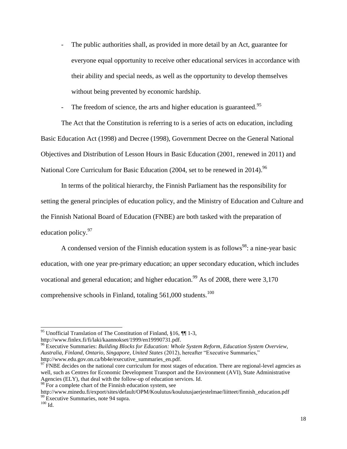- The public authorities shall, as provided in more detail by an Act, guarantee for everyone equal opportunity to receive other educational services in accordance with their ability and special needs, as well as the opportunity to develop themselves without being prevented by economic hardship.

The freedom of science, the arts and higher education is guaranteed.<sup>95</sup>

The Act that the Constitution is referring to is a series of acts on education, including Basic Education Act (1998) and Decree (1998), Government Decree on the General National Objectives and Distribution of Lesson Hours in Basic Education (2001, renewed in 2011) and National Core Curriculum for Basic Education (2004, set to be renewed in 2014).<sup>96</sup>

In terms of the political hierarchy, the Finnish Parliament has the responsibility for setting the general principles of education policy, and the Ministry of Education and Culture and the Finnish National Board of Education (FNBE) are both tasked with the preparation of education policy.<sup>97</sup>

A condensed version of the Finnish education system is as follows<sup>98</sup>: a nine-year basic education, with one year pre-primary education; an upper secondary education, which includes vocational and general education; and higher education.<sup>99</sup> As of 2008, there were 3,170 comprehensive schools in Finland, totaling  $561,000$  students.<sup>100</sup>

<sup>96</sup> Executive Summaries: *Building Blocks for Education: Whole System Reform*, *Education System Overview*, *Australia, Finland, Ontario, Singapore, United States* (2012), hereafter "Executive Summaries," http://www.edu.gov.on.ca/bb4e/executive\_summaries\_en.pdf.

<sup>98</sup> For a complete chart of the Finnish education system, see

<sup>&</sup>lt;sup>95</sup> Unofficial Translation of The Constitution of Finland, §16,  $\P\P$  1-3, http://www.finlex.fi/fi/laki/kaannokset/1999/en19990731.pdf.

 $97$  FNBE decides on the national core curriculum for most stages of education. There are regional-level agencies as well, such as Centres for Economic Development Transport and the Environment (AVI), State Administrative Agencies (ELY), that deal with the follow-up of education services. Id.

http://www.minedu.fi/export/sites/default/OPM/Koulutus/koulutusjaerjestelmae/liitteet/finnish\_education.pdf <sup>99</sup> Executive Summaries, note 94 supra.

 $^{100}\,$  Id.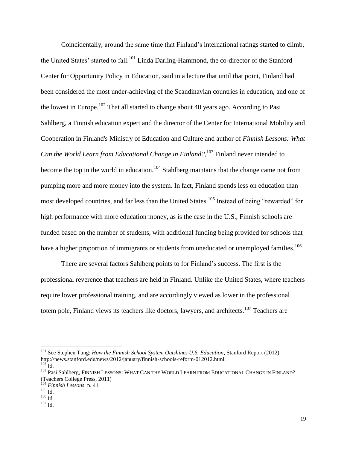Coincidentally, around the same time that Finland's international ratings started to climb, the United States' started to fall.<sup>101</sup> Linda Darling-Hammond, the co-director of the Stanford Center for Opportunity Policy in Education, said in a lecture that until that point, Finland had been considered the most under-achieving of the Scandinavian countries in education, and one of the lowest in Europe.<sup>102</sup> That all started to change about 40 years ago. According to Pasi Sahlberg, a Finnish education expert and the director of the Center for International Mobility and Cooperation in Finland's Ministry of Education and Culture and author of *Finnish Lessons: What Can the World Learn from Educational Change in Finland?*, <sup>103</sup> Finland never intended to become the top in the world in education.<sup>104</sup> Stahlberg maintains that the change came not from pumping more and more money into the system. In fact, Finland spends less on education than most developed countries, and far less than the United States.<sup>105</sup> Instead of being "rewarded" for high performance with more education money, as is the case in the U.S., Finnish schools are funded based on the number of students, with additional funding being provided for schools that have a higher proportion of immigrants or students from uneducated or unemployed families.<sup>106</sup>

There are several factors Sahlberg points to for Finland's success. The first is the professional reverence that teachers are held in Finland. Unlike the United States, where teachers require lower professional training, and are accordingly viewed as lower in the professional totem pole, Finland views its teachers like doctors, lawyers, and architects.<sup>107</sup> Teachers are

l

<sup>&</sup>lt;sup>101</sup> See Stephen Tung: *How the Finnish School System Outshines U.S. Education*, Stanford Report (2012), http://news.stanford.edu/news/2012/january/finnish-schools-reform-012012.html.  $102$  Id.

<sup>&</sup>lt;sup>103</sup> Pasi Sahlberg, FINNISH LESSONS: WHAT CAN THE WORLD LEARN FROM EDUCATIONAL CHANGE IN FINLAND? (Teachers College Press, 2011)

<sup>104</sup> *Finnish Lessons,* p. 41

 $^{105}$  Id.

 $^{106}$  Id.

 $107$  Id.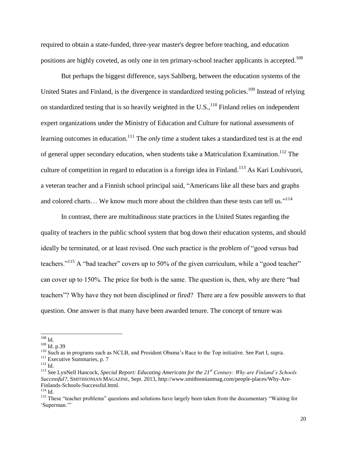required to obtain a state-funded, three-year master's degree before teaching, and education positions are highly coveted, as only one in ten primary-school teacher applicants is accepted.<sup>108</sup>

But perhaps the biggest difference, says Sahlberg, between the education systems of the United States and Finland, is the divergence in standardized testing policies.<sup>109</sup> Instead of relying on standardized testing that is so heavily weighted in the U.S.,  $^{110}$  Finland relies on independent expert organizations under the Ministry of Education and Culture for national assessments of learning outcomes in education.<sup>111</sup> The *only* time a student takes a standardized test is at the end of general upper secondary education, when students take a Matriculation Examination.<sup>112</sup> The culture of competition in regard to education is a foreign idea in Finland.<sup>113</sup> As Kari Louhivuori, a veteran teacher and a Finnish school principal said, "Americans like all these bars and graphs and colored charts... We know much more about the children than these tests can tell us."<sup>114</sup>

In contrast, there are multitudinous state practices in the United States regarding the quality of teachers in the public school system that bog down their education systems, and should ideally be terminated, or at least revised. One such practice is the problem of "good versus bad teachers."<sup>115</sup> A "bad teacher" covers up to 50% of the given curriculum, while a "good teacher" can cover up to 150%. The price for both is the same. The question is, then, why are there "bad teachers"? Why have they not been disciplined or fired? There are a few possible answers to that question. One answer is that many have been awarded tenure. The concept of tenure was

 $\overline{a}$  $108$  Id.

<sup>109</sup> Id. p.39

<sup>&</sup>lt;sup>110</sup> Such as in programs such as NCLB, and President Obama's Race to the Top initiative. See Part I, supra.

<sup>&</sup>lt;sup>111</sup> Executive Summaries, p. 7

<sup>112</sup> Id.

<sup>113</sup> See LynNell Hancock, *Special Report: Educating Americans for the 21st Century: Why are Finland's Schools Successful?*, SMITHSONIAN MAGAZINE, Sept. 2013, http://www.smithsonianmag.com/people-places/Why-Are-Finlands-Schools-Successful.html.

 $^{114}$  Id.

<sup>&</sup>lt;sup>115</sup> These "teacher problems" questions and solutions have largely been taken from the documentary "Waiting for 'Superman.'"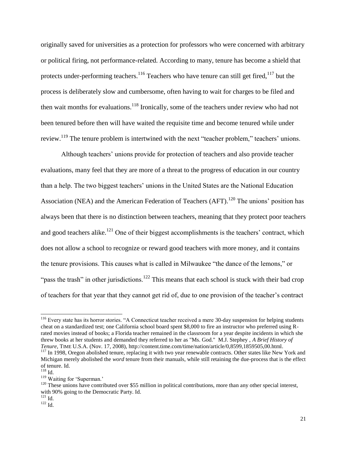originally saved for universities as a protection for professors who were concerned with arbitrary or political firing, not performance-related. According to many, tenure has become a shield that protects under-performing teachers.<sup>116</sup> Teachers who have tenure can still get fired,<sup>117</sup> but the process is deliberately slow and cumbersome, often having to wait for charges to be filed and then wait months for evaluations.<sup>118</sup> Ironically, some of the teachers under review who had not been tenured before then will have waited the requisite time and become tenured while under review.<sup>119</sup> The tenure problem is intertwined with the next "teacher problem," teachers' unions.

Although teachers' unions provide for protection of teachers and also provide teacher evaluations, many feel that they are more of a threat to the progress of education in our country than a help. The two biggest teachers' unions in the United States are the National Education Association (NEA) and the American Federation of Teachers (AFT).<sup>120</sup> The unions' position has always been that there is no distinction between teachers, meaning that they protect poor teachers and good teachers alike.<sup>121</sup> One of their biggest accomplishments is the teachers' contract, which does not allow a school to recognize or reward good teachers with more money, and it contains the tenure provisions. This causes what is called in Milwaukee "the dance of the lemons," or "pass the trash" in other jurisdictions.<sup>122</sup> This means that each school is stuck with their bad crop of teachers for that year that they cannot get rid of, due to one provision of the teacher's contract

<sup>&</sup>lt;sup>116</sup> Every state has its horror stories. "A Connecticut teacher received a mere 30-day suspension for helping students cheat on a standardized test; one California school board spent \$8,000 to fire an instructor who preferred using Rrated movies instead of books; a Florida teacher remained in the classroom for a year despite incidents in which she threw books at her students and demanded they referred to her as "Ms. God." M.J. Stephey , *A Brief History of Tenure*, TIME U.S.A. (Nov. 17, 2008), http://content.time.com/time/nation/article/0,8599,1859505,00.html.

<sup>&</sup>lt;sup>117</sup> In 1998, Oregon abolished tenure, replacing it with two year renewable contracts. Other states like New York and Michigan merely abolished the *word* tenure from their manuals, while still retaining the due-process that is the effect of tenure. Id.

<sup>118</sup> Id.

<sup>&</sup>lt;sup>119</sup> Waiting for 'Superman.'

 $120$  These unions have contributed over \$55 million in political contributions, more than any other special interest, with 90% going to the Democratic Party. Id.

 $^{121}$  Id.

 $122 \overline{Id}$ .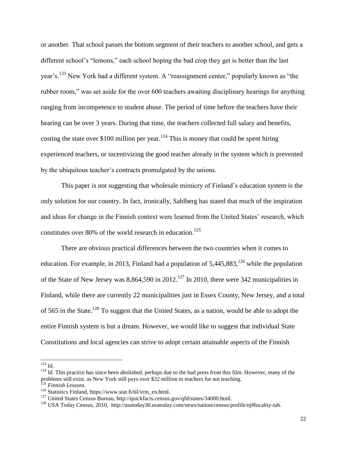or another. That school passes the bottom segment of their teachers to another school, and gets a different school's "lemons," each school hoping the bad crop they get is better than the last year's.<sup>123</sup> New York had a different system. A "reassignment center," popularly known as "the rubber room," was set aside for the over 600 teachers awaiting disciplinary hearings for anything ranging from incompetence to student abuse. The period of time before the teachers have their hearing can be over 3 years. During that time, the teachers collected full salary and benefits, costing the state over \$100 million per year.<sup>124</sup> This is money that could be spent hiring experienced teachers, or incentivizing the good teacher already in the system which is prevented by the ubiquitous teacher's contracts promulgated by the unions.

This paper is not suggesting that wholesale mimicry of Finland's education system is the only solution for our country. In fact, ironically, Sahlberg has stated that much of the inspiration and ideas for change in the Finnish context were learned from the United States' research, which constitutes over 80% of the world research in education.<sup>125</sup>

There are obvious practical differences between the two countries when it comes to education. For example, in 2013, Finland had a population of  $5,445,883$ ,  $126$  while the population of the State of New Jersey was  $8,864,590$  in 2012.<sup>127</sup> In 2010, there were 342 municipalities in Finland, while there are currently 22 municipalities just in Essex County, New Jersey, and a total of 565 in the State.<sup>128</sup> To suggest that the United States, as a nation, would be able to adopt the entire Finnish system is but a dream. However, we would like to suggest that individual State Constitutions and local agencies can strive to adopt certain attainable aspects of the Finnish

 $^{123}$  Id.

 $124$  Id. This practice has since been abolished, perhaps due to the bad press from this film. However, many of the problems still exist, as New York still pays over \$22 million to teachers for not teaching.

<sup>125</sup> *Finnish Lessons*.

<sup>126</sup> Statistics Finland, https://www.stat.fi/til/vrm\_en.html.

<sup>127</sup> United States Census Bureau, http://quickfacts.census.gov/qfd/states/34000.html.

<sup>&</sup>lt;sup>128</sup> USA Today Census, 2010, http://usatoday30.usatoday.com/news/nation/census/profile/nj#locality-tab.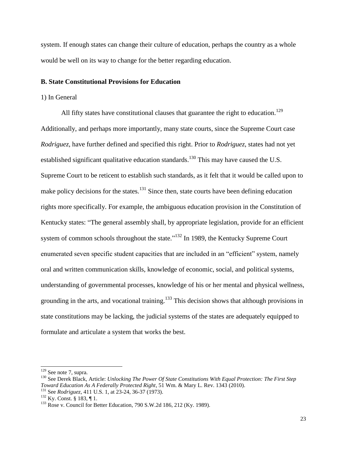system. If enough states can change their culture of education, perhaps the country as a whole would be well on its way to change for the better regarding education.

#### <span id="page-23-0"></span>**B. State Constitutional Provisions for Education**

#### 1) In General

All fifty states have constitutional clauses that guarantee the right to education.<sup>129</sup> Additionally, and perhaps more importantly, many state courts, since the Supreme Court case *Rodriguez*, have further defined and specified this right. Prior to *Rodriguez*, states had not yet established significant qualitative education standards.<sup>130</sup> This may have caused the U.S. Supreme Court to be reticent to establish such standards, as it felt that it would be called upon to make policy decisions for the states.<sup>131</sup> Since then, state courts have been defining education rights more specifically. For example, the ambiguous education provision in the Constitution of Kentucky states: "The general assembly shall, by appropriate legislation, provide for an efficient system of common schools throughout the state. $132$  In 1989, the Kentucky Supreme Court enumerated seven specific student capacities that are included in an "efficient" system, namely oral and written communication skills, knowledge of economic, social, and political systems, understanding of governmental processes, knowledge of his or her mental and physical wellness, grounding in the arts, and vocational training.<sup>133</sup> This decision shows that although provisions in state constitutions may be lacking, the judicial systems of the states are adequately equipped to formulate and articulate a system that works the best.

 $129$  See note 7, supra.

<sup>130</sup> See Derek Black, Article: *Unlocking The Power Of State Constitutions With Equal Protection: The First Step Toward Education As A Federally Protected Right*, 51 Wm. & Mary L. Rev. 1343 (2010). <sup>131</sup> See *Rodriguez,* 411 U.S. 1, at 23-24, 36-37 (1973).

 $132$  Ky. Const. § 183, ¶ 1.

 $133$  Rose v. Council for Better Education, 790 S.W.2d 186, 212 (Ky. 1989).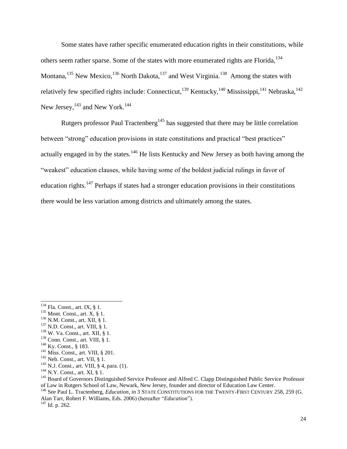Some states have rather specific enumerated education rights in their constitutions, while others seem rather sparse. Some of the states with more enumerated rights are Florida, <sup>134</sup> Montana,<sup>135</sup> New Mexico,<sup>136</sup> North Dakota,<sup>137</sup> and West Virginia.<sup>138</sup> Among the states with relatively few specified rights include: Connecticut,<sup>139</sup> Kentucky,<sup>140</sup> Mississippi,<sup>141</sup> Nebraska,<sup>142</sup> New Jersey,  $^{143}$  and New York.  $^{144}$ 

Rutgers professor Paul Tractenberg<sup>145</sup> has suggested that there may be little correlation between "strong" education provisions in state constitutions and practical "best practices" actually engaged in by the states.<sup>146</sup> He lists Kentucky and New Jersey as both having among the "weakest" education clauses, while having some of the boldest judicial rulings in favor of education rights.<sup>147</sup> Perhaps if states had a stronger education provisions in their constitutions there would be less variation among districts and ultimately among the states.

 $\overline{a}$ 

<sup>147</sup> Id. p. 262.

 $134$  Fla. Const., art. IX, § 1.

 $135$  Mont. Const., art. X, § 1.

<sup>136</sup> N.M. Const., art. XII, § 1.

 $137$  N.D. Const., art. VIII, § 1.

<sup>138</sup> W. Va. Const., art. XII, § 1.

<sup>&</sup>lt;sup>139</sup> Conn. Const., art. VIII, § 1.

<sup>140</sup> Ky. Const., § 183.

<sup>141</sup> Miss. Const., art. VIII, § 201.

<sup>142</sup> Neb. Const., art. VII, § 1.

<sup>&</sup>lt;sup>143</sup> N.J. Const., art. VIII, § 4, para. (1).

<sup>144</sup> N.Y. Const., art. XI, § 1.

<sup>&</sup>lt;sup>145</sup> Board of Governors Distinguished Service Professor and Alfred C. Clapp Distinguished Public Service Professor of Law in Rutgers School of Law, Newark, New Jersey, founder and director of Education Law Center.

<sup>&</sup>lt;sup>146</sup> See Paul L. Tractenberg, *Education*, *in* 3 STATE CONSTITUTIONS FOR THE TWENTY-FIRST CENTURY 258, 259 (G. Alan Tarr, Robert F. Williams, Eds. 2006) (hereafter "*Education*").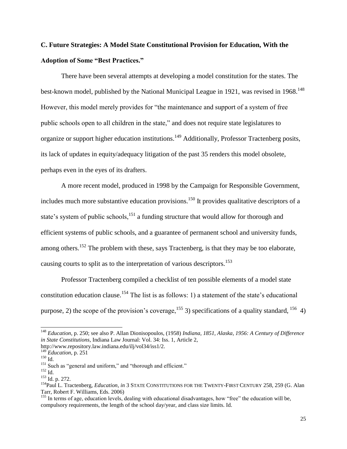## <span id="page-25-0"></span>**C. Future Strategies: A Model State Constitutional Provision for Education, With the Adoption of Some "Best Practices."**

There have been several attempts at developing a model constitution for the states. The best-known model, published by the National Municipal League in 1921, was revised in 1968.<sup>148</sup> However, this model merely provides for "the maintenance and support of a system of free public schools open to all children in the state," and does not require state legislatures to organize or support higher education institutions.<sup>149</sup> Additionally, Professor Tractenberg posits, its lack of updates in equity/adequacy litigation of the past 35 renders this model obsolete, perhaps even in the eyes of its drafters.

A more recent model, produced in 1998 by the Campaign for Responsible Government, includes much more substantive education provisions.<sup>150</sup> It provides qualitative descriptors of a state's system of public schools,<sup>151</sup> a funding structure that would allow for thorough and efficient systems of public schools, and a guarantee of permanent school and university funds, among others.<sup>152</sup> The problem with these, says Tractenberg, is that they may be too elaborate, causing courts to split as to the interpretation of various descriptors.<sup>153</sup>

Professor Tractenberg compiled a checklist of ten possible elements of a model state constitution education clause.<sup>154</sup> The list is as follows: 1) a statement of the state's educational purpose, 2) the scope of the provision's coverage,  $^{155}$  3) specifications of a quality standard,  $^{156}$  4)

<sup>148</sup> *Education*, p. 250; see also P. Allan Dionisopoulos, (1958) *Indiana, 1851, Alaska, 1956: A Century of Difference in State Constitutions*, Indiana Law Journal: Vol. 34: Iss. 1, Article 2,

http://www.repository.law.indiana.edu/ilj/vol34/iss1/2.

<sup>149</sup> *Education*, p. 251  $150$  Id.

<sup>&</sup>lt;sup>151</sup> Such as "general and uniform," and "thorough and efficient."

 $^{152}$  Id.

<sup>153</sup> Id. p. 272.

<sup>154</sup>Paul L. Tractenberg, *Education*, *in* 3 STATE CONSTITUTIONS FOR THE TWENTY-FIRST CENTURY 258, 259 (G. Alan Tarr, Robert F. Williams, Eds. 2006)

 $155$  In terms of age, education levels, dealing with educational disadvantages, how "free" the education will be, compulsory requirements, the length of the school day/year, and class size limits. Id.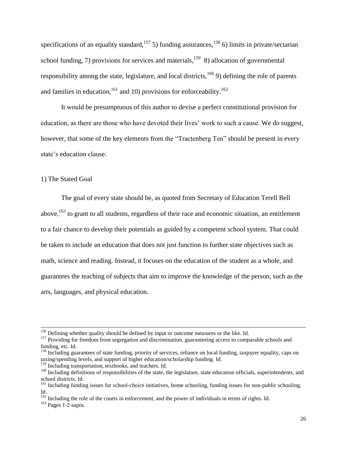specifications of an equality standard,<sup>157</sup> 5) funding assurances,<sup>158</sup> 6) limits in private/sectarian school funding, 7) provisions for services and materials,<sup>159</sup> 8) allocation of governmental responsibility among the state, legislature, and local districts,  $160$  9) defining the role of parents and families in education,  $^{161}$  and 10) provisions for enforceability.  $^{162}$ 

It would be presumptuous of this author to devise a perfect constitutional provision for education, as there are those who have devoted their lives' work to such a cause. We do suggest, however, that some of the key elements from the "Tractenberg Ten" should be present in every state's education clause.

#### <span id="page-26-0"></span>1) The Stated Goal

The goal of every state should be, as quoted from Secretary of Education Terell Bell above, $163$  to grant to all students, regardless of their race and economic situation, an entitlement to a fair chance to develop their potentials as guided by a competent school system. That could be taken to include an education that does not just function to further state objectives such as math, science and reading. Instead, it focuses on the education of the student as a whole, and guarantees the teaching of subjects that aim to improve the knowledge of the person, such as the arts, languages, and physical education.

<sup>&</sup>lt;sup>156</sup> Defining whether quality should be defined by input or outcome measures or the like. Id.

<sup>&</sup>lt;sup>157</sup> Providing for freedom from segregation and discrimination, guaranteeing access to comparable schools and funding, etc. Id.

<sup>&</sup>lt;sup>158</sup> Including guarantees of state funding, priority of services, reliance on local funding, taxpayer equality, caps on taxing/spending levels, and support of higher education/scholarship funding. Id.

<sup>&</sup>lt;sup>159</sup> Including transportation, textbooks, and teachers. Id.

<sup>&</sup>lt;sup>160</sup> Including definitions of responsibilities of the state, the legislature, state education officials, superintendents, and school districts. Id.

<sup>&</sup>lt;sup>161</sup> Including funding issues for school-choice initiatives, home schooling, funding issues for non-public schooling. Id.

 $162$  Including the role of the courts in enforcement, and the power of individuals in terms of rights. Id.

 $163$  Pages 1-2 supra.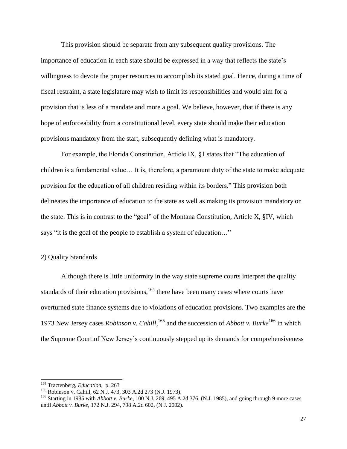This provision should be separate from any subsequent quality provisions. The importance of education in each state should be expressed in a way that reflects the state's willingness to devote the proper resources to accomplish its stated goal. Hence, during a time of fiscal restraint, a state legislature may wish to limit its responsibilities and would aim for a provision that is less of a mandate and more a goal. We believe, however, that if there is any hope of enforceability from a constitutional level, every state should make their education provisions mandatory from the start, subsequently defining what is mandatory.

For example, the Florida Constitution, Article IX, §1 states that "The education of children is a fundamental value… It is, therefore, a paramount duty of the state to make adequate provision for the education of all children residing within its borders." This provision both delineates the importance of education to the state as well as making its provision mandatory on the state. This is in contrast to the "goal" of the Montana Constitution, Article X, §IV, which says "it is the goal of the people to establish a system of education…"

#### <span id="page-27-0"></span>2) Quality Standards

Although there is little uniformity in the way state supreme courts interpret the quality standards of their education provisions, $164$  there have been many cases where courts have overturned state finance systems due to violations of education provisions. Two examples are the 1973 New Jersey cases *Robinson v. Cahill*, <sup>165</sup> and the succession of *Abbott v. Burke*<sup>166</sup> in which the Supreme Court of New Jersey's continuously stepped up its demands for comprehensiveness

<sup>164</sup> Tractenberg, *Education*, p. 263

<sup>&</sup>lt;sup>165</sup> Robinson v. Cahill, 62 N.J. 473, 303 A.2d 273 (N.J. 1973).

<sup>166</sup> Starting in 1985 with *Abbott v. Burke*, 100 N.J. 269, 495 A.2d 376, (N.J. 1985), and going through 9 more cases until *Abbott v. Burke*, 172 N.J. 294, 798 A.2d 602, (N.J. 2002).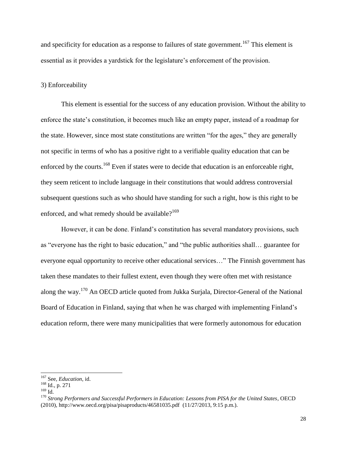and specificity for education as a response to failures of state government.<sup>167</sup> This element is essential as it provides a yardstick for the legislature's enforcement of the provision.

#### <span id="page-28-0"></span>3) Enforceability

This element is essential for the success of any education provision. Without the ability to enforce the state's constitution, it becomes much like an empty paper, instead of a roadmap for the state. However, since most state constitutions are written "for the ages," they are generally not specific in terms of who has a positive right to a verifiable quality education that can be enforced by the courts.<sup>168</sup> Even if states were to decide that education is an enforceable right, they seem reticent to include language in their constitutions that would address controversial subsequent questions such as who should have standing for such a right, how is this right to be enforced, and what remedy should be available? $169$ 

However, it can be done. Finland's constitution has several mandatory provisions, such as "everyone has the right to basic education," and "the public authorities shall… guarantee for everyone equal opportunity to receive other educational services…" The Finnish government has taken these mandates to their fullest extent, even though they were often met with resistance along the way.<sup>170</sup> An OECD article quoted from Jukka Surjala, Director-General of the National Board of Education in Finland, saying that when he was charged with implementing Finland's education reform, there were many municipalities that were formerly autonomous for education

<sup>167</sup> See, *Education*, id.

<sup>168</sup> Id., p. 271

 $^{169}\!$  Id.

<sup>170</sup> *Strong Performers and Successful Performers in Education: Lessons from PISA for the United States*, OECD (2010), http://www.oecd.org/pisa/pisaproducts/46581035.pdf (11/27/2013, 9:15 p.m.).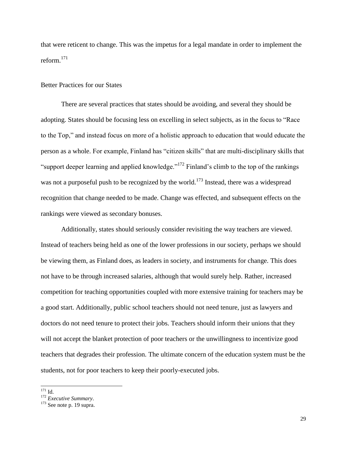that were reticent to change. This was the impetus for a legal mandate in order to implement the reform.<sup>171</sup>

#### <span id="page-29-0"></span>Better Practices for our States

There are several practices that states should be avoiding, and several they should be adopting. States should be focusing less on excelling in select subjects, as in the focus to "Race to the Top," and instead focus on more of a holistic approach to education that would educate the person as a whole. For example, Finland has "citizen skills" that are multi-disciplinary skills that "support deeper learning and applied knowledge."<sup>172</sup> Finland's climb to the top of the rankings was not a purposeful push to be recognized by the world.<sup>173</sup> Instead, there was a widespread recognition that change needed to be made. Change was effected, and subsequent effects on the rankings were viewed as secondary bonuses.

Additionally, states should seriously consider revisiting the way teachers are viewed. Instead of teachers being held as one of the lower professions in our society, perhaps we should be viewing them, as Finland does, as leaders in society, and instruments for change. This does not have to be through increased salaries, although that would surely help. Rather, increased competition for teaching opportunities coupled with more extensive training for teachers may be a good start. Additionally, public school teachers should not need tenure, just as lawyers and doctors do not need tenure to protect their jobs. Teachers should inform their unions that they will not accept the blanket protection of poor teachers or the unwillingness to incentivize good teachers that degrades their profession. The ultimate concern of the education system must be the students, not for poor teachers to keep their poorly-executed jobs.

l  $171$  Id.

<sup>172</sup> *Executive Summary*.

<sup>&</sup>lt;sup>173</sup> See note p. 19 supra.